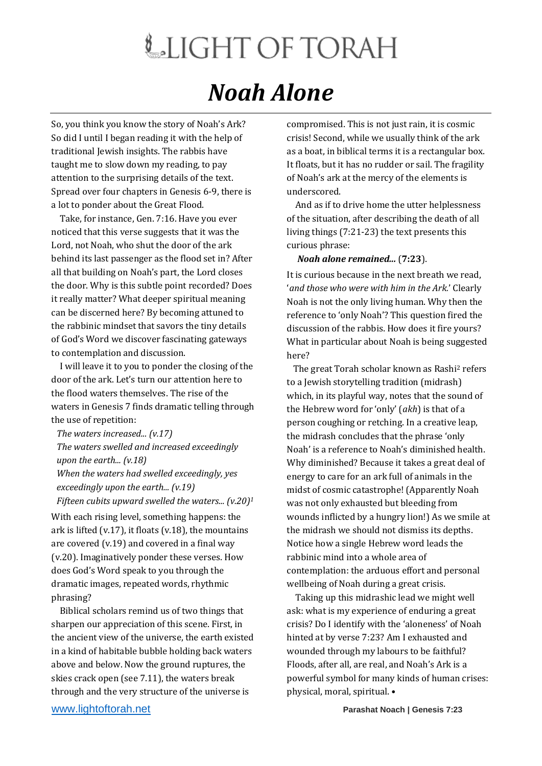## LIGHT OF TORAH *Noah Alone*

So, you think you know the story of Noah's Ark? So did I until I began reading it with the help of traditional Jewish insights. The rabbis have taught me to slow down my reading, to pay attention to the surprising details of the text. Spread over four chapters in Genesis 6-9, there is a lot to ponder about the Great Flood.

 Take, for instance, Gen. 7:16. Have you ever noticed that this verse suggests that it was the Lord, not Noah, who shut the door of the ark behind its last passenger as the flood set in? After all that building on Noah's part, the Lord closes the door. Why is this subtle point recorded? Does it really matter? What deeper spiritual meaning can be discerned here? By becoming attuned to the rabbinic mindset that savors the tiny details of God's Word we discover fascinating gateways to contemplation and discussion.

 I will leave it to you to ponder the closing of the door of the ark. Let's turn our attention here to the flood waters themselves. The rise of the waters in Genesis 7 finds dramatic telling through the use of repetition:

*The waters increased... (v.17) The waters swelled and increased exceedingly upon the earth... (v.18)*

*When the waters had swelled exceedingly, yes exceedingly upon the earth... (v.19)*

*Fifteen cubits upward swelled the waters... (v.20)<sup>1</sup>* With each rising level, something happens: the ark is lifted (v.17), it floats (v.18), the mountains are covered (v.19) and covered in a final way (v.20). Imaginatively ponder these verses. How does God's Word speak to you through the dramatic images, repeated words, rhythmic phrasing?

 Biblical scholars remind us of two things that sharpen our appreciation of this scene. First, in the ancient view of the universe, the earth existed in a kind of habitable bubble holding back waters above and below. Now the ground ruptures, the skies crack open (see 7.11), the waters break through and the very structure of the universe is

compromised. This is not just rain, it is cosmic crisis! Second, while we usually think of the ark as a boat, in biblical terms it is a rectangular box. It floats, but it has no rudder or sail. The fragility of Noah's ark at the mercy of the elements is underscored.

 And as if to drive home the utter helplessness of the situation, after describing the death of all living things (7:21-23) the text presents this curious phrase:

## *Noah alone remained...* (**7:23**).

It is curious because in the next breath we read, '*and those who were with him in the Ark.*' Clearly Noah is not the only living human. Why then the reference to 'only Noah'? This question fired the discussion of the rabbis. How does it fire yours? What in particular about Noah is being suggested here?

 The great Torah scholar known as Rashi<sup>2</sup> refers to a Jewish storytelling tradition (midrash) which, in its playful way, notes that the sound of the Hebrew word for 'only' (*akh*) is that of a person coughing or retching. In a creative leap, the midrash concludes that the phrase 'only Noah' is a reference to Noah's diminished health. Why diminished? Because it takes a great deal of energy to care for an ark full of animals in the midst of cosmic catastrophe! (Apparently Noah was not only exhausted but bleeding from wounds inflicted by a hungry lion!) As we smile at the midrash we should not dismiss its depths. Notice how a single Hebrew word leads the rabbinic mind into a whole area of contemplation: the arduous effort and personal wellbeing of Noah during a great crisis.

 Taking up this midrashic lead we might well ask: what is my experience of enduring a great crisis? Do I identify with the 'aloneness' of Noah hinted at by verse 7:23? Am I exhausted and wounded through my labours to be faithful? Floods, after all, are real, and Noah's Ark is a powerful symbol for many kinds of human crises: physical, moral, spiritual. •